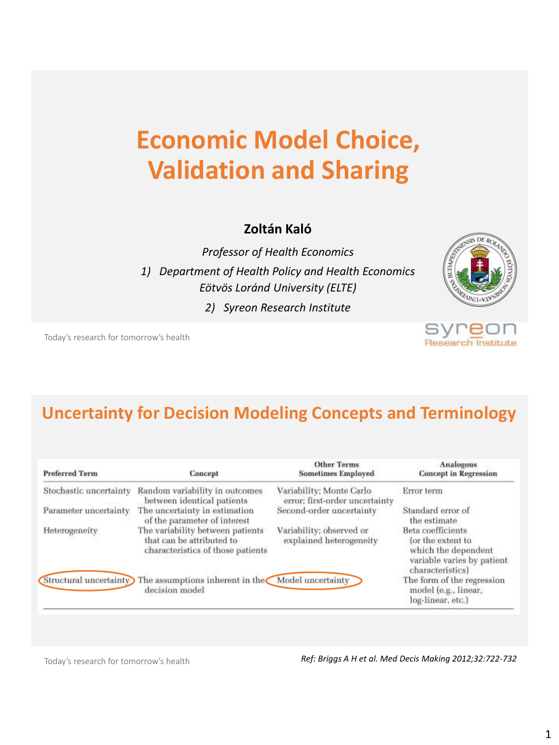## **Economic Model Choice, Validation and Sharing**

#### **Zoltán Kaló**

*Professor of Health Economics 1) Department of Health Policy and Health Economics Eötvös Loránd University (ELTE) 2) Syreon Research Institute*

**Research Institute** 

svi

Today's research for tomorrow's health

#### **Uncertainty for Decision Modeling Concepts and Terminology**

| <b>Preferred Term</b>  | Concept                                                                                            | <b>Other Terms</b><br><b>Sometimes Employed</b>             | Analogous<br><b>Concept in Regression</b>                                                                       |
|------------------------|----------------------------------------------------------------------------------------------------|-------------------------------------------------------------|-----------------------------------------------------------------------------------------------------------------|
| Stochastic uncertainty | Random variability in outcomes<br>between identical patients                                       | Variability; Monte Carlo.<br>error; first-order uncertainty | Error term                                                                                                      |
| Parameter uncertainty  | The uncertainty in estimation<br>of the parameter of interest                                      | Second-order uncertainty                                    | Standard error of<br>the estimate                                                                               |
| Heterogeneity          | The variability between patients<br>that can be attributed to<br>characteristics of those patients | Variability; observed or<br>explained heterogeneity         | Beta coefficients<br>for the extent to<br>which the dependent<br>variable varies by patient<br>characteristics) |
|                        | Structural uncertainty) The assumptions inherent in the Model uncertainty<br>decision model        |                                                             | The form of the regression<br>model (e.g., linear,<br>log-linear, etc.)                                         |

Today's research for tomorrow's health

*Ref: Briggs A H et al. Med Decis Making 2012;32:722-732*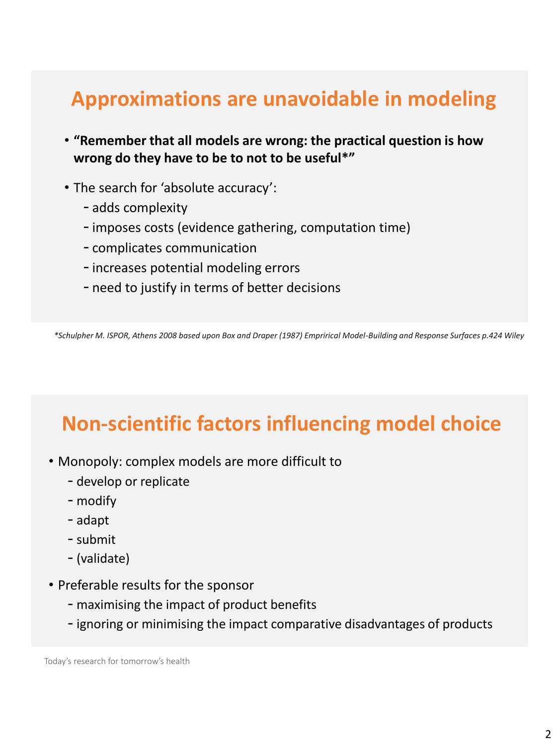#### **Approximations are unavoidable in modeling**

- **"Remember that all models are wrong: the practical question is how wrong do they have to be to not to be useful\*"**
- The search for 'absolute accuracy':
	- adds complexity
	- imposes costs (evidence gathering, computation time)
	- complicates communication
	- increases potential modeling errors
	- need to justify in terms of better decisions

Today's research for tomorrow's health *\*Schulpher M. ISPOR, Athens 2008 based upon Box and Draper (1987) Emprirical Model-Building and Response Surfaces p.424 Wiley*

### **Non-scientific factors influencing model choice**

- Monopoly: complex models are more difficult to
	- develop or replicate
	- modify
	- adapt
	- submit
	- (validate)
- Preferable results for the sponsor
	- maximising the impact of product benefits
	- ignoring or minimising the impact comparative disadvantages of products